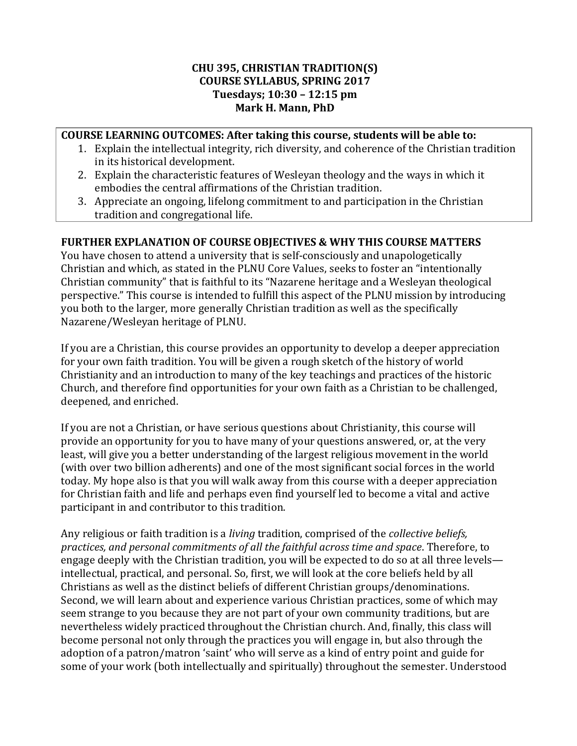#### **CHU 395, CHRISTIAN TRADITION(S) COURSE SYLLABUS, SPRING 2017 Tuesdays; 10:30 – 12:15 pm Mark H. Mann, PhD**

#### **COURSE LEARNING OUTCOMES: After taking this course, students will be able to:**

- 1. Explain the intellectual integrity, rich diversity, and coherence of the Christian tradition in its historical development.
- 2. Explain the characteristic features of Wesleyan theology and the ways in which it embodies the central affirmations of the Christian tradition.
- 3. Appreciate an ongoing, lifelong commitment to and participation in the Christian tradition and congregational life.

## **FURTHER EXPLANATION OF COURSE OBJECTIVES & WHY THIS COURSE MATTERS**

You have chosen to attend a university that is self-consciously and unapologetically Christian and which, as stated in the PLNU Core Values, seeks to foster an "intentionally Christian community" that is faithful to its "Nazarene heritage and a Wesleyan theological perspective." This course is intended to fulfill this aspect of the PLNU mission by introducing you both to the larger, more generally Christian tradition as well as the specifically Nazarene/Wesleyan heritage of PLNU.

If you are a Christian, this course provides an opportunity to develop a deeper appreciation for your own faith tradition. You will be given a rough sketch of the history of world Christianity and an introduction to many of the key teachings and practices of the historic Church, and therefore find opportunities for your own faith as a Christian to be challenged, deepened, and enriched.

If you are not a Christian, or have serious questions about Christianity, this course will provide an opportunity for you to have many of your questions answered, or, at the very least, will give you a better understanding of the largest religious movement in the world (with over two billion adherents) and one of the most significant social forces in the world today. My hope also is that you will walk away from this course with a deeper appreciation for Christian faith and life and perhaps even find yourself led to become a vital and active participant in and contributor to this tradition.

Any religious or faith tradition is a *living* tradition, comprised of the *collective beliefs, practices, and personal commitments of all the faithful across time and space*. Therefore, to engage deeply with the Christian tradition, you will be expected to do so at all three levels intellectual, practical, and personal. So, first, we will look at the core beliefs held by all Christians as well as the distinct beliefs of different Christian groups/denominations. Second, we will learn about and experience various Christian practices, some of which may seem strange to you because they are not part of your own community traditions, but are nevertheless widely practiced throughout the Christian church. And, finally, this class will become personal not only through the practices you will engage in, but also through the adoption of a patron/matron 'saint' who will serve as a kind of entry point and guide for some of your work (both intellectually and spiritually) throughout the semester. Understood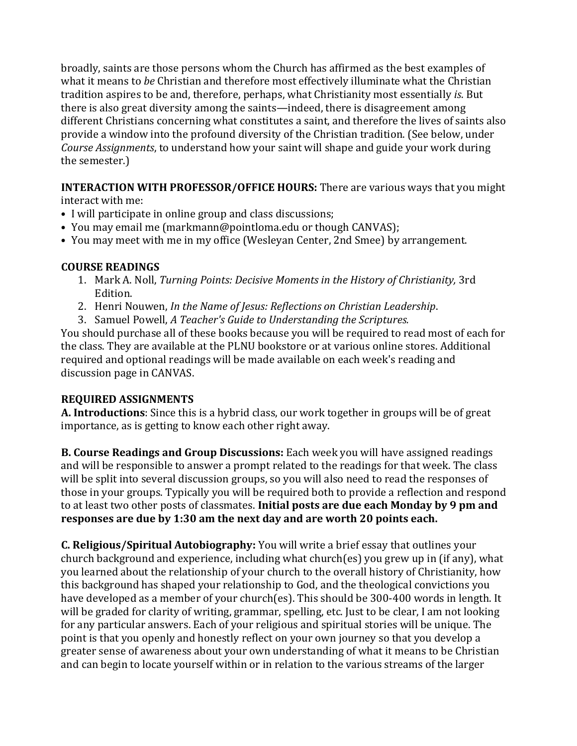broadly, saints are those persons whom the Church has affirmed as the best examples of what it means to *be* Christian and therefore most effectively illuminate what the Christian tradition aspires to be and, therefore, perhaps, what Christianity most essentially *is*. But there is also great diversity among the saints—indeed, there is disagreement among different Christians concerning what constitutes a saint, and therefore the lives of saints also provide a window into the profound diversity of the Christian tradition. (See below, under *Course Assignments*, to understand how your saint will shape and guide your work during the semester.)

**INTERACTION WITH PROFESSOR/OFFICE HOURS:** There are various ways that you might interact with me:

- I will participate in online group and class discussions;
- You may email me (markmann@pointloma.edu or though CANVAS);
- You may meet with me in my office (Wesleyan Center, 2nd Smee) by arrangement.

# **COURSE READINGS**

- 1. Mark A. Noll, *Turning Points: Decisive Moments in the History of Christianity,* 3rd Edition.
- 2. Henri Nouwen, *In the Name of Jesus: Reflections on Christian Leadership*.
- 3. Samuel Powell, *A Teacher's Guide to Understanding the Scriptures.*

You should purchase all of these books because you will be required to read most of each for the class. They are available at the PLNU bookstore or at various online stores. Additional required and optional readings will be made available on each week's reading and discussion page in CANVAS.

# **REQUIRED ASSIGNMENTS**

**A. [Introductions](https://canvas.pointloma.edu/courses/31893/discussion_topics/96289)**: Since this is a hybrid class, our work together in groups will be of great importance, as is getting to know each other right away.

**B. Course Readings and Group Discussions:** Each week you will have assigned readings and will be responsible to answer a prompt related to the readings for that week. The class will be split into several discussion groups, so you will also need to read the responses of those in your groups. Typically you will be required both to provide a reflection and respond to at least two other posts of classmates. **Initial posts are due each Monday by 9 pm and responses are due by 1:30 am the next day and are worth 20 points each.**

**C. [Religious/Spiritual Autobiography:](https://canvas.pointloma.edu/courses/31893/discussion_topics/96271)** You will write a brief essay that outlines your church background and experience, including what church(es) you grew up in (if any), what you learned about the relationship of your church to the overall history of Christianity, how this background has shaped your relationship to God, and the theological convictions you have developed as a member of your church(es). This should be 300-400 words in length. It will be graded for clarity of writing, grammar, spelling, etc. Just to be clear, I am not looking for any particular answers. Each of your religious and spiritual stories will be unique. The point is that you openly and honestly reflect on your own journey so that you develop a greater sense of awareness about your own understanding of what it means to be Christian and can begin to locate yourself within or in relation to the various streams of the larger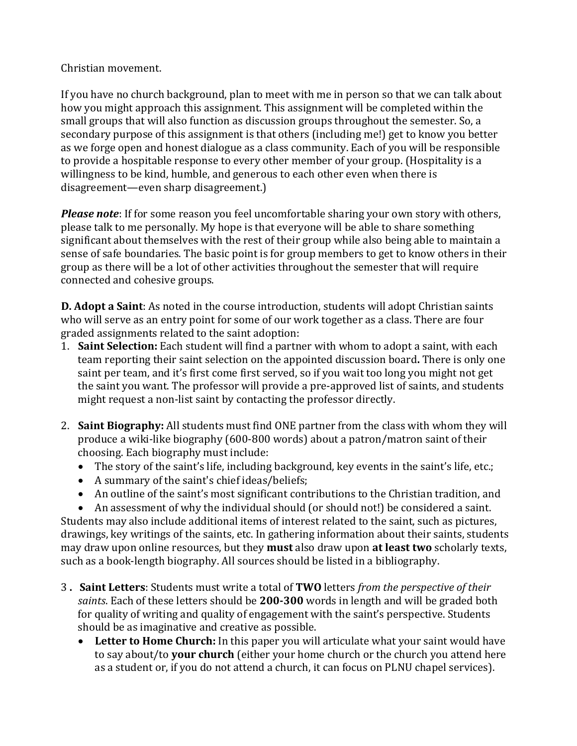## Christian movement.

If you have no church background, plan to meet with me in person so that we can talk about how you might approach this assignment. This assignment will be completed within the small groups that will also function as discussion groups throughout the semester. So, a secondary purpose of this assignment is that others (including me!) get to know you better as we forge open and honest dialogue as a class community. Each of you will be responsible to provide a hospitable response to every other member of your group. (Hospitality is a willingness to be kind, humble, and generous to each other even when there is disagreement—even sharp disagreement.)

*Please note*: If for some reason you feel uncomfortable sharing your own story with others, please talk to me personally. My hope is that everyone will be able to share something significant about themselves with the rest of their group while also being able to maintain a sense of safe boundaries. The basic point is for group members to get to know others in their group as there will be a lot of other activities throughout the semester that will require connected and cohesive groups.

**D. Adopt a Saint**: As noted in the course introduction, students will adopt Christian saints who will serve as an entry point for some of our work together as a class. There are four graded assignments related to the saint adoption:

- 1. **[Saint Selection:](https://canvas.pointloma.edu/courses/31893/discussion_topics/96290)** Each student will find a partner with whom to adopt a saint, with each team reporting their saint selection on the appointed discussion board**.** There is only one saint per team, and it's first come first served, so if you wait too long you might not get the saint you want. The professor will provide a [pre-approved list of saints,](https://canvas.pointloma.edu/courses/31893/files/1111582/download?verifier=szvlkcnWpmGJ6RKAj4wt9TZOe7RZXIiB7VXBXLYQ&wrap=1) and students might request a non-list saint by contacting the professor directly.
- 2. **[Saint Biography:](https://canvas.pointloma.edu/courses/31893/assignments/168049)** All students must find ONE partner from the class with whom they will produce a wiki-like biography (600-800 words) about a patron/matron saint of their choosing. Each biography must include:
	- The story of the saint's life, including background, key events in the saint's life, etc.;
	- A summary of the saint's chief ideas/beliefs;
	- An outline of the saint's most significant contributions to the Christian tradition, and

 An assessment of why the individual should (or should not!) be considered a saint. Students may also include additional items of interest related to the saint, such as pictures, drawings, key writings of the saints, etc. In gathering information about their saints, students may draw upon online resources, but they **must** also draw upon **at least two** scholarly texts, such as a book-length biography. All sources should be listed in a bibliography.

- 3 **. Saint Letters**: Students must write a total of **TWO** letters *from the perspective of their saints*. Each of these letters should be **200-300** words in length and will be graded both for quality of writing and quality of engagement with the saint's perspective. Students should be as imaginative and creative as possible.
	- **[Letter to Home Church:](https://canvas.pointloma.edu/courses/31893/assignments/168050)** In this paper you will articulate what your saint would have to say about/to **your church** (either your home church or the church you attend here as a student or, if you do not attend a church, it can focus on PLNU chapel services).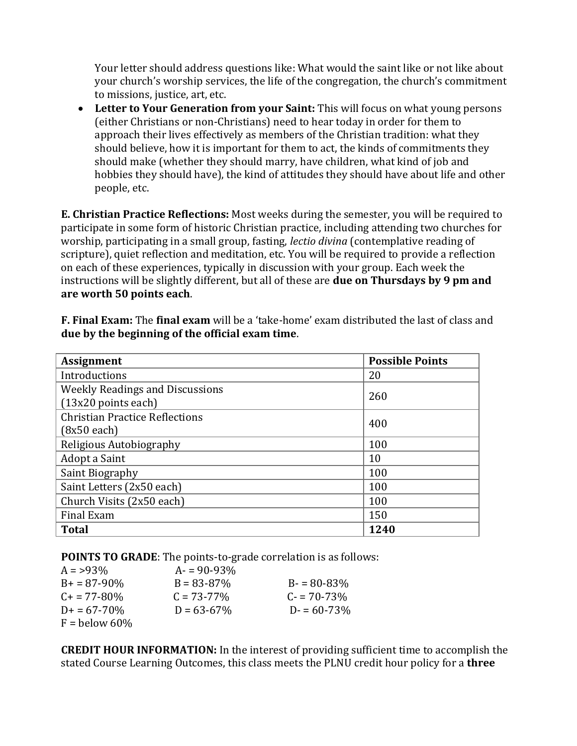Your letter should address questions like: What would the saint like or not like about your church's worship services, the life of the congregation, the church's commitment to missions, justice, art, etc.

• [Letter to Your Generation from your Saint:](https://canvas.pointloma.edu/courses/31893/assignments/168051) This will focus on what young persons (either Christians or non-Christians) need to hear today in order for them to approach their lives effectively as members of the Christian tradition: what they should believe, how it is important for them to act, the kinds of commitments they should make (whether they should marry, have children, what kind of job and hobbies they should have), the kind of attitudes they should have about life and other people, etc.

**E. Christian Practice Reflections:** Most weeks during the semester, you will be required to participate in some form of historic Christian practice, including attending two churches for worship, participating in a small group, fasting, *lectio divina* (contemplative reading of scripture), quiet reflection and meditation, etc. You will be required to provide a reflection on each of these experiences, typically in discussion with your group. Each week the instructions will be slightly different, but all of these are **due on Thursdays by 9 pm and are worth 50 points each**.

| <b>Assignment</b>                      | <b>Possible Points</b> |
|----------------------------------------|------------------------|
| Introductions                          | 20                     |
| <b>Weekly Readings and Discussions</b> | 260                    |
| $(13x20$ points each)                  |                        |
| <b>Christian Practice Reflections</b>  | 400                    |
| $(8x50$ each)                          |                        |
| Religious Autobiography                | 100                    |
| Adopt a Saint                          | 10                     |
| Saint Biography                        | 100                    |
| Saint Letters (2x50 each)              | 100                    |
| Church Visits (2x50 each)              | 100                    |
| Final Exam                             | 150                    |
| <b>Total</b>                           | 1240                   |

**F. [Final Exam:](https://canvas.pointloma.edu/courses/31893/assignments/168056)** The **final exam** will be a 'take-home' exam distributed the last of class and **due by the beginning of the official exam time**.

**POINTS TO GRADE**: The points-to-grade correlation is as follows:

| $A = 93\%$          | $A = 90 - 93\%$ |                 |
|---------------------|-----------------|-----------------|
| $B+ = 87-90\%$      | $B = 83 - 87\%$ | $B = 80 - 83\%$ |
| $C_{+}$ = 77-80%    | $C = 73 - 77\%$ | $C = 70 - 73\%$ |
| $D_{+} = 67 - 70\%$ | $D = 63 - 67\%$ | $D = 60 - 73\%$ |
| $F =$ below 60%     |                 |                 |

**CREDIT HOUR INFORMATION:** In the interest of providing sufficient time to accomplish the stated Course Learning Outcomes, this class meets the PLNU credit hour policy for a **three**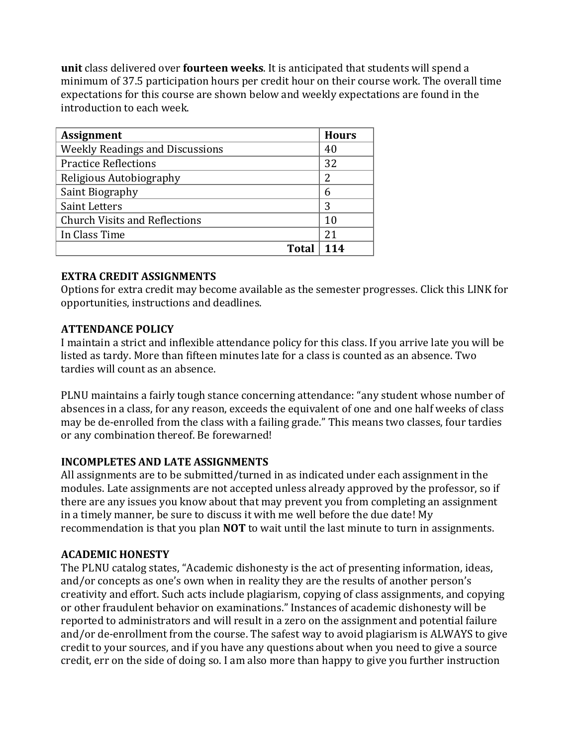**unit** class delivered over **fourteen weeks**. It is anticipated that students will spend a minimum of 37.5 participation hours per credit hour on their course work. The overall time expectations for this course are shown below and weekly expectations are found in the introduction to each week.

| <b>Assignment</b>                      | <b>Hours</b> |
|----------------------------------------|--------------|
| <b>Weekly Readings and Discussions</b> | 40           |
| <b>Practice Reflections</b>            | 32           |
| Religious Autobiography                | 2            |
| Saint Biography                        | 6            |
| <b>Saint Letters</b>                   | 3            |
| <b>Church Visits and Reflections</b>   | 10           |
| In Class Time                          | 21           |
| Total                                  |              |

#### **EXTRA CREDIT ASSIGNMENTS**

Options for extra credit may become available as the semester progresses. Click thi[s LINK](https://canvas.pointloma.edu/courses/31893/assignments/168055) for opportunities, instructions and deadlines.

## **ATTENDANCE POLICY**

I maintain a strict and inflexible attendance policy for this class. If you arrive late you will be listed as tardy. More than fifteen minutes late for a class is counted as an absence. Two tardies will count as an absence.

PLNU maintains a fairly tough stance concerning attendance: "any student whose number of absences in a class, for any reason, exceeds the equivalent of one and one half weeks of class may be de-enrolled from the class with a failing grade." This means two classes, four tardies or any combination thereof. Be forewarned!

# **INCOMPLETES AND LATE ASSIGNMENTS**

All assignments are to be submitted/turned in as indicated under each assignment in the modules. Late assignments are not accepted unless already approved by the professor, so if there are any issues you know about that may prevent you from completing an assignment in a timely manner, be sure to discuss it with me well before the due date! My recommendation is that you plan **NOT** to wait until the last minute to turn in assignments.

#### **ACADEMIC HONESTY**

The PLNU catalog states, "Academic dishonesty is the act of presenting information, ideas, and/or concepts as one's own when in reality they are the results of another person's creativity and effort. Such acts include plagiarism, copying of class assignments, and copying or other fraudulent behavior on examinations." Instances of academic dishonesty will be reported to administrators and will result in a zero on the assignment and potential failure and/or de-enrollment from the course. The safest way to avoid plagiarism is ALWAYS to give credit to your sources, and if you have any questions about when you need to give a source credit, err on the side of doing so. I am also more than happy to give you further instruction